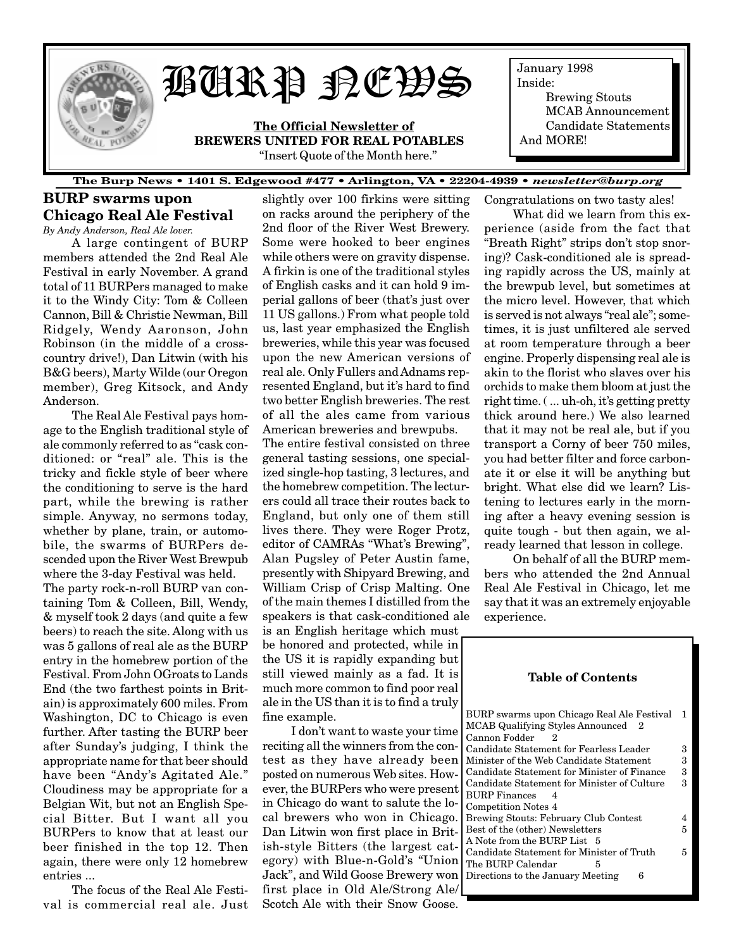

# BURP NEWS

**The Official Newsletter of BREWERS UNITED FOR REAL POTABLES** "Insert Quote of the Month here."

January 1998 Inside: Brewing Stouts MCAB Announcement Candidate Statements And MORE!

#### **The Burp News • 1401 S. Edgewood #477 • Arlington, VA • 22204-4939 •** *newsletter@burp.org*

## **BURP swarms upon Chicago Real Ale Festival** *By Andy Anderson, Real Ale lover.*

A large contingent of BURP members attended the 2nd Real Ale Festival in early November. A grand total of 11 BURPers managed to make it to the Windy City: Tom & Colleen Cannon, Bill & Christie Newman, Bill Ridgely, Wendy Aaronson, John Robinson (in the middle of a crosscountry drive!), Dan Litwin (with his B&G beers), Marty Wilde (our Oregon member), Greg Kitsock, and Andy Anderson.

The Real Ale Festival pays homage to the English traditional style of ale commonly referred to as "cask conditioned: or "real" ale. This is the tricky and fickle style of beer where the conditioning to serve is the hard part, while the brewing is rather simple. Anyway, no sermons today, whether by plane, train, or automobile, the swarms of BURPers descended upon the River West Brewpub where the 3-day Festival was held. The party rock-n-roll BURP van containing Tom & Colleen, Bill, Wendy, & myself took 2 days (and quite a few beers) to reach the site. Along with us was 5 gallons of real ale as the BURP entry in the homebrew portion of the Festival. From John OGroats to Lands End (the two farthest points in Britain) is approximately 600 miles. From Washington, DC to Chicago is even further. After tasting the BURP beer after Sunday's judging, I think the appropriate name for that beer should have been "Andy's Agitated Ale." Cloudiness may be appropriate for a Belgian Wit, but not an English Special Bitter. But I want all you BURPers to know that at least our beer finished in the top 12. Then again, there were only 12 homebrew entries ...

The focus of the Real Ale Festival is commercial real ale. Just

slightly over 100 firkins were sitting on racks around the periphery of the 2nd floor of the River West Brewery. Some were hooked to beer engines while others were on gravity dispense. A firkin is one of the traditional styles of English casks and it can hold 9 imperial gallons of beer (that's just over 11 US gallons.) From what people told us, last year emphasized the English breweries, while this year was focused upon the new American versions of real ale. Only Fullers and Adnams represented England, but it's hard to find two better English breweries. The rest of all the ales came from various American breweries and brewpubs.

The entire festival consisted on three general tasting sessions, one specialized single-hop tasting, 3 lectures, and the homebrew competition. The lecturers could all trace their routes back to England, but only one of them still lives there. They were Roger Protz, editor of CAMRAs "What's Brewing", Alan Pugsley of Peter Austin fame, presently with Shipyard Brewing, and William Crisp of Crisp Malting. One of the main themes I distilled from the speakers is that cask-conditioned ale is an English heritage which must be honored and protected, while in the US it is rapidly expanding but still viewed mainly as a fad. It is much more common to find poor real ale in the US than it is to find a truly fine example.

I don't want to waste your time reciting all the winners from the contest as they have already been posted on numerous Web sites. However, the BURPers who were present in Chicago do want to salute the local brewers who won in Chicago. Dan Litwin won first place in British-style Bitters (the largest category) with Blue-n-Gold's "Union Jack", and Wild Goose Brewery won first place in Old Ale/Strong Ale/ Scotch Ale with their Snow Goose. Congratulations on two tasty ales!

What did we learn from this experience (aside from the fact that "Breath Right" strips don't stop snoring)? Cask-conditioned ale is spreading rapidly across the US, mainly at the brewpub level, but sometimes at the micro level. However, that which is served is not always "real ale"; sometimes, it is just unfiltered ale served at room temperature through a beer engine. Properly dispensing real ale is akin to the florist who slaves over his orchids to make them bloom at just the right time. ( ... uh-oh, it's getting pretty thick around here.) We also learned that it may not be real ale, but if you transport a Corny of beer 750 miles, you had better filter and force carbonate it or else it will be anything but bright. What else did we learn? Listening to lectures early in the morning after a heavy evening session is quite tough - but then again, we already learned that lesson in college.

On behalf of all the BURP members who attended the 2nd Annual Real Ale Festival in Chicago, let me say that it was an extremely enjoyable experience.

| Table of Contents                                                                |   |  |  |
|----------------------------------------------------------------------------------|---|--|--|
|                                                                                  |   |  |  |
| BURP swarms upon Chicago Real Ale Festival<br>MCAB Qualifying Styles Announced 2 | 1 |  |  |
| Cannon Fodder<br>2                                                               |   |  |  |
| Candidate Statement for Fearless Leader                                          | з |  |  |
| Minister of the Web Candidate Statement                                          | 3 |  |  |
| Candidate Statement for Minister of Finance                                      | 3 |  |  |
| Candidate Statement for Minister of Culture                                      |   |  |  |
| <b>BURP</b> Finances<br>4                                                        |   |  |  |
| <b>Competition Notes 4</b>                                                       |   |  |  |
| Brewing Stouts: February Club Contest                                            |   |  |  |
| Best of the (other) Newsletters                                                  |   |  |  |
| A Note from the BURP List 5                                                      |   |  |  |
| Candidate Statement for Minister of Truth                                        | 5 |  |  |
| The BURP Calendar<br>5                                                           |   |  |  |
| Directions to the January Meeting<br>6                                           |   |  |  |
|                                                                                  |   |  |  |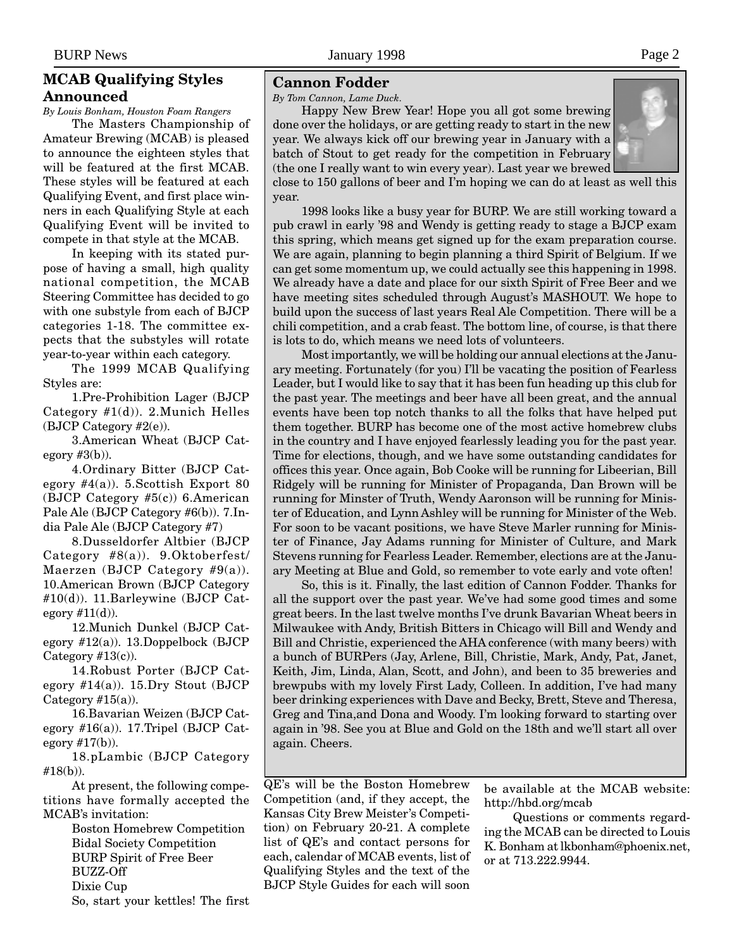## <span id="page-1-0"></span>**MCAB Qualifying Styles Announced**

*By Louis Bonham, Houston Foam Rangers*

The Masters Championship of Amateur Brewing (MCAB) is pleased to announce the eighteen styles that will be featured at the first MCAB. These styles will be featured at each Qualifying Event, and first place winners in each Qualifying Style at each Qualifying Event will be invited to compete in that style at the MCAB.

In keeping with its stated purpose of having a small, high quality national competition, the MCAB Steering Committee has decided to go with one substyle from each of BJCP categories 1-18. The committee expects that the substyles will rotate year-to-year within each category.

The 1999 MCAB Qualifying Styles are:

1.Pre-Prohibition Lager (BJCP Category #1(d)). 2.Munich Helles (BJCP Category #2(e)).

3.American Wheat (BJCP Category  $#3(b)$ ).

4.Ordinary Bitter (BJCP Category  $\#4(a)$ ). 5. Scottish Export 80 (BJCP Category #5(c)) 6.American Pale Ale (BJCP Category #6(b)). 7.India Pale Ale (BJCP Category #7)

8.Dusseldorfer Altbier (BJCP Category #8(a)). 9.Oktoberfest/ Maerzen (BJCP Category  $#9(a)$ ). 10.American Brown (BJCP Category #10(d)). 11.Barleywine (BJCP Category  $#11(d)$ ).

12.Munich Dunkel (BJCP Category #12(a)). 13.Doppelbock (BJCP Category  $#13(c)$ ).

14.Robust Porter (BJCP Category  $#14(a)$ ). 15.Dry Stout (BJCP Category  $\#15(a)$ ).

16.Bavarian Weizen (BJCP Category #16(a)). 17.Tripel (BJCP Category #17(b)).

18.pLambic (BJCP Category #18(b)).

At present, the following competitions have formally accepted the MCAB's invitation:

> Boston Homebrew Competition Bidal Society Competition BURP Spirit of Free Beer BUZZ-Off Dixie Cup So, start your kettles! The first

## **Cannon Fodder**

year.

*By Tom Cannon, Lame Duck.*

Happy New Brew Year! Hope you all got some brewing done over the holidays, or are getting ready to start in the new year. We always kick off our brewing year in January with a batch of Stout to get ready for the competition in February (the one I really want to win every year). Last year we brewed

close to 150 gallons of beer and I'm hoping we can do at least as well this

1998 looks like a busy year for BURP. We are still working toward a pub crawl in early '98 and Wendy is getting ready to stage a BJCP exam this spring, which means get signed up for the exam preparation course. We are again, planning to begin planning a third Spirit of Belgium. If we can get some momentum up, we could actually see this happening in 1998. We already have a date and place for our sixth Spirit of Free Beer and we have meeting sites scheduled through August's MASHOUT. We hope to build upon the success of last years Real Ale Competition. There will be a chili competition, and a crab feast. The bottom line, of course, is that there is lots to do, which means we need lots of volunteers.

Most importantly, we will be holding our annual elections at the January meeting. Fortunately (for you) I'll be vacating the position of Fearless Leader, but I would like to say that it has been fun heading up this club for the past year. The meetings and beer have all been great, and the annual events have been top notch thanks to all the folks that have helped put them together. BURP has become one of the most active homebrew clubs in the country and I have enjoyed fearlessly leading you for the past year. Time for elections, though, and we have some outstanding candidates for offices this year. Once again, Bob Cooke will be running for Libeerian, Bill Ridgely will be running for Minister of Propaganda, Dan Brown will be running for Minster of Truth, Wendy Aaronson will be running for Minister of Education, and Lynn Ashley will be running for Minister of the Web. For soon to be vacant positions, we have Steve Marler running for Minister of Finance, Jay Adams running for Minister of Culture, and Mark Stevens running for Fearless Leader. Remember, elections are at the January Meeting at Blue and Gold, so remember to vote early and vote often!

So, this is it. Finally, the last edition of Cannon Fodder. Thanks for all the support over the past year. We've had some good times and some great beers. In the last twelve months I've drunk Bavarian Wheat beers in Milwaukee with Andy, British Bitters in Chicago will Bill and Wendy and Bill and Christie, experienced the AHA conference (with many beers) with a bunch of BURPers (Jay, Arlene, Bill, Christie, Mark, Andy, Pat, Janet, Keith, Jim, Linda, Alan, Scott, and John), and been to 35 breweries and brewpubs with my lovely First Lady, Colleen. In addition, I've had many beer drinking experiences with Dave and Becky, Brett, Steve and Theresa, Greg and Tina,and Dona and Woody. I'm looking forward to starting over again in '98. See you at Blue and Gold on the 18th and we'll start all over again. Cheers.

QE's will be the Boston Homebrew Competition (and, if they accept, the Kansas City Brew Meister's Competition) on February 20-21. A complete list of QE's and contact persons for each, calendar of MCAB events, list of Qualifying Styles and the text of the BJCP Style Guides for each will soon

be available at the MCAB website: http://hbd.org/mcab

Questions or comments regarding the MCAB can be directed to Louis K. Bonham at lkbonham@phoenix.net, or at 713.222.9944.

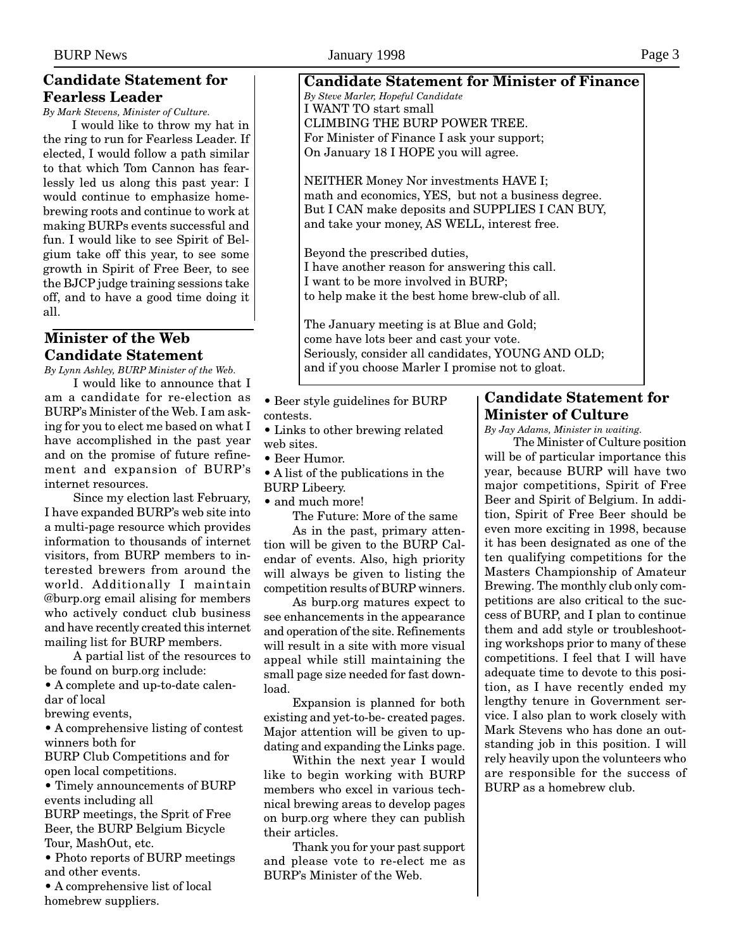## <span id="page-2-0"></span>**Candidate Statement for Fearless Leader**

*By Mark Stevens, Minister of Culture.*

I would like to throw my hat in the ring to run for Fearless Leader. If elected, I would follow a path similar to that which Tom Cannon has fearlessly led us along this past year: I would continue to emphasize homebrewing roots and continue to work at making BURPs events successful and fun. I would like to see Spirit of Belgium take off this year, to see some growth in Spirit of Free Beer, to see the BJCP judge training sessions take off, and to have a good time doing it all.

# **Minister of the Web Candidate Statement**

*By Lynn Ashley, BURP Minister of the Web.*

I would like to announce that I am a candidate for re-election as BURP's Minister of the Web. I am asking for you to elect me based on what I have accomplished in the past year and on the promise of future refinement and expansion of BURP's internet resources.

Since my election last February, I have expanded BURP's web site into a multi-page resource which provides information to thousands of internet visitors, from BURP members to interested brewers from around the world. Additionally I maintain @burp.org email alising for members who actively conduct club business and have recently created this internet mailing list for BURP members.

A partial list of the resources to be found on burp.org include:

• A complete and up-to-date calendar of local

brewing events,

• A comprehensive listing of contest winners both for

BURP Club Competitions and for open local competitions.

• Timely announcements of BURP events including all BURP meetings, the Sprit of Free Beer, the BURP Belgium Bicycle

Tour, MashOut, etc. • Photo reports of BURP meetings and other events.

• A comprehensive list of local homebrew suppliers.

## **Candidate Statement for Minister of Finance** *By Steve Marler, Hopeful Candidate* I WANT TO start small CLIMBING THE BURP POWER TREE. For Minister of Finance I ask your support; On January 18 I HOPE you will agree.

NEITHER Money Nor investments HAVE I; math and economics, YES, but not a business degree. But I CAN make deposits and SUPPLIES I CAN BUY, and take your money, AS WELL, interest free.

Beyond the prescribed duties, I have another reason for answering this call. I want to be more involved in BURP; to help make it the best home brew-club of all.

The January meeting is at Blue and Gold; come have lots beer and cast your vote. Seriously, consider all candidates, YOUNG AND OLD; and if you choose Marler I promise not to gloat.

- Beer style guidelines for BURP contests.
- Links to other brewing related web sites.
- Beer Humor.
- A list of the publications in the BURP Libeery.
- and much more!

The Future: More of the same

As in the past, primary attention will be given to the BURP Calendar of events. Also, high priority will always be given to listing the competition results of BURP winners.

As burp.org matures expect to see enhancements in the appearance and operation of the site. Refinements will result in a site with more visual appeal while still maintaining the small page size needed for fast download.

Expansion is planned for both existing and yet-to-be- created pages. Major attention will be given to updating and expanding the Links page.

Within the next year I would like to begin working with BURP members who excel in various technical brewing areas to develop pages on burp.org where they can publish their articles.

Thank you for your past support and please vote to re-elect me as BURP's Minister of the Web.

## **Candidate Statement for Minister of Culture**

*By Jay Adams, Minister in waiting.*

The Minister of Culture position will be of particular importance this year, because BURP will have two major competitions, Spirit of Free Beer and Spirit of Belgium. In addition, Spirit of Free Beer should be even more exciting in 1998, because it has been designated as one of the ten qualifying competitions for the Masters Championship of Amateur Brewing. The monthly club only competitions are also critical to the success of BURP, and I plan to continue them and add style or troubleshooting workshops prior to many of these competitions. I feel that I will have adequate time to devote to this position, as I have recently ended my lengthy tenure in Government service. I also plan to work closely with Mark Stevens who has done an outstanding job in this position. I will rely heavily upon the volunteers who are responsible for the success of BURP as a homebrew club.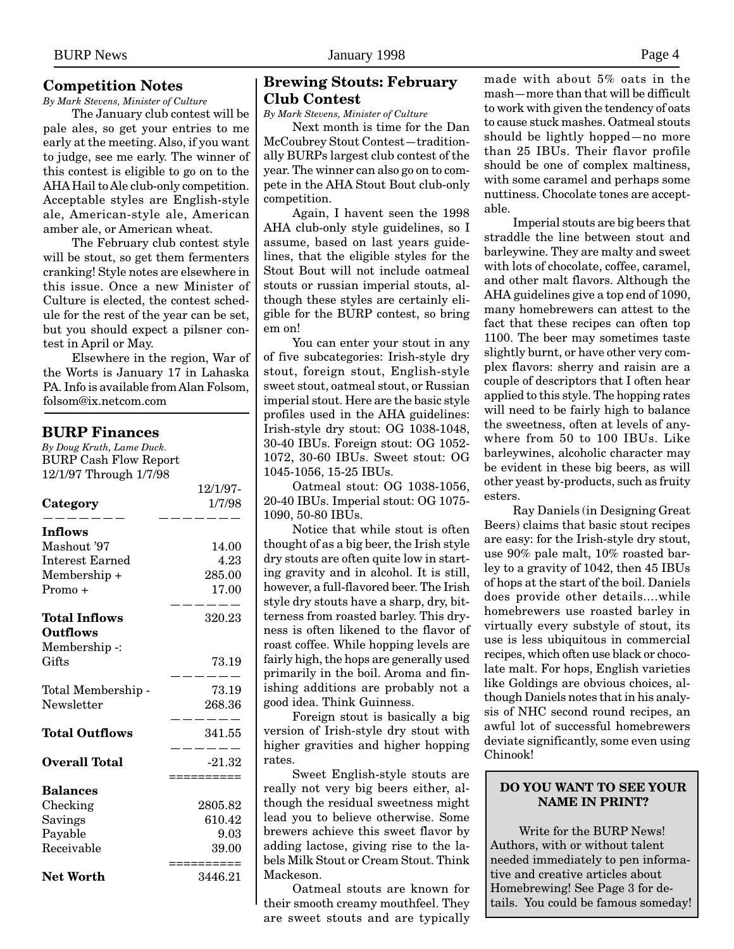## <span id="page-3-0"></span>**Competition Notes**

*By Mark Stevens, Minister of Culture*

The January club contest will be pale ales, so get your entries to me early at the meeting. Also, if you want to judge, see me early. The winner of this contest is eligible to go on to the AHA Hail to Ale club-only competition. Acceptable styles are English-style ale, American-style ale, American amber ale, or American wheat.

The February club contest style will be stout, so get them fermenters cranking! Style notes are elsewhere in this issue. Once a new Minister of Culture is elected, the contest schedule for the rest of the year can be set, but you should expect a pilsner contest in April or May.

Elsewhere in the region, War of the Worts is January 17 in Lahaska PA. Info is available from Alan Folsom, folsom@ix.netcom.com

#### **BURP Finances**

*By Doug Kruth, Lame Duck.* BURP Cash Flow Report 12/1/97 Through 1/7/98

|                       | 12/1/97- |
|-----------------------|----------|
| Category              | 1/7/98   |
| Inflows               |          |
| Mashout '97           | 14.00    |
| Interest Earned       | 4.23     |
| Membership +          | 285.00   |
| Promo +               | 17.00    |
| Total Inflows         | 320.23   |
| <b>Outflows</b>       |          |
| Membership -:         |          |
| Gifts                 | 73.19    |
| Total Membership -    | 73.19    |
| Newsletter            | 268.36   |
| <b>Total Outflows</b> | 341.55   |
|                       |          |
| Overall Total         | $-21.32$ |
| <b>Balances</b>       | sssssss  |
| Checking              | 2805.82  |
| Savings               | 610.42   |
| Payable               | 9.03     |
| Receivable            | 39.00    |
|                       | :======  |
| <b>Net Worth</b>      | 3446.21  |

### **Brewing Stouts: February Club Contest**

*By Mark Stevens, Minister of Culture*

Next month is time for the Dan McCoubrey Stout Contest—traditionally BURPs largest club contest of the year. The winner can also go on to compete in the AHA Stout Bout club-only competition.

Again, I havent seen the 1998 AHA club-only style guidelines, so I assume, based on last years guidelines, that the eligible styles for the Stout Bout will not include oatmeal stouts or russian imperial stouts, although these styles are certainly eligible for the BURP contest, so bring em on!

You can enter your stout in any of five subcategories: Irish-style dry stout, foreign stout, English-style sweet stout, oatmeal stout, or Russian imperial stout. Here are the basic style profiles used in the AHA guidelines: Irish-style dry stout: OG 1038-1048, 30-40 IBUs. Foreign stout: OG 1052- 1072, 30-60 IBUs. Sweet stout: OG 1045-1056, 15-25 IBUs.

Oatmeal stout: OG 1038-1056, 20-40 IBUs. Imperial stout: OG 1075- 1090, 50-80 IBUs.

Notice that while stout is often thought of as a big beer, the Irish style dry stouts are often quite low in starting gravity and in alcohol. It is still, however, a full-flavored beer. The Irish style dry stouts have a sharp, dry, bitterness from roasted barley. This dryness is often likened to the flavor of roast coffee. While hopping levels are fairly high, the hops are generally used primarily in the boil. Aroma and finishing additions are probably not a good idea. Think Guinness.

Foreign stout is basically a big version of Irish-style dry stout with higher gravities and higher hopping rates.

Sweet English-style stouts are really not very big beers either, although the residual sweetness might lead you to believe otherwise. Some brewers achieve this sweet flavor by adding lactose, giving rise to the labels Milk Stout or Cream Stout. Think Mackeson.

Oatmeal stouts are known for their smooth creamy mouthfeel. They are sweet stouts and are typically made with about 5% oats in the mash—more than that will be difficult to work with given the tendency of oats to cause stuck mashes. Oatmeal stouts should be lightly hopped—no more than 25 IBUs. Their flavor profile should be one of complex maltiness, with some caramel and perhaps some nuttiness. Chocolate tones are acceptable.

Imperial stouts are big beers that straddle the line between stout and barleywine. They are malty and sweet with lots of chocolate, coffee, caramel, and other malt flavors. Although the AHA guidelines give a top end of 1090, many homebrewers can attest to the fact that these recipes can often top 1100. The beer may sometimes taste slightly burnt, or have other very complex flavors: sherry and raisin are a couple of descriptors that I often hear applied to this style. The hopping rates will need to be fairly high to balance the sweetness, often at levels of anywhere from 50 to 100 IBUs. Like barleywines, alcoholic character may be evident in these big beers, as will other yeast by-products, such as fruity esters.

Ray Daniels (in Designing Great Beers) claims that basic stout recipes are easy: for the Irish-style dry stout, use 90% pale malt, 10% roasted barley to a gravity of 1042, then 45 IBUs of hops at the start of the boil. Daniels does provide other details....while homebrewers use roasted barley in virtually every substyle of stout, its use is less ubiquitous in commercial recipes, which often use black or chocolate malt. For hops, English varieties like Goldings are obvious choices, although Daniels notes that in his analysis of NHC second round recipes, an awful lot of successful homebrewers deviate significantly, some even using Chinook!

#### **DO YOU WANT TO SEE YOUR NAME IN PRINT?**

Write for the BURP News! Authors, with or without talent needed immediately to pen informative and creative articles about Homebrewing! See Page 3 for details. You could be famous someday!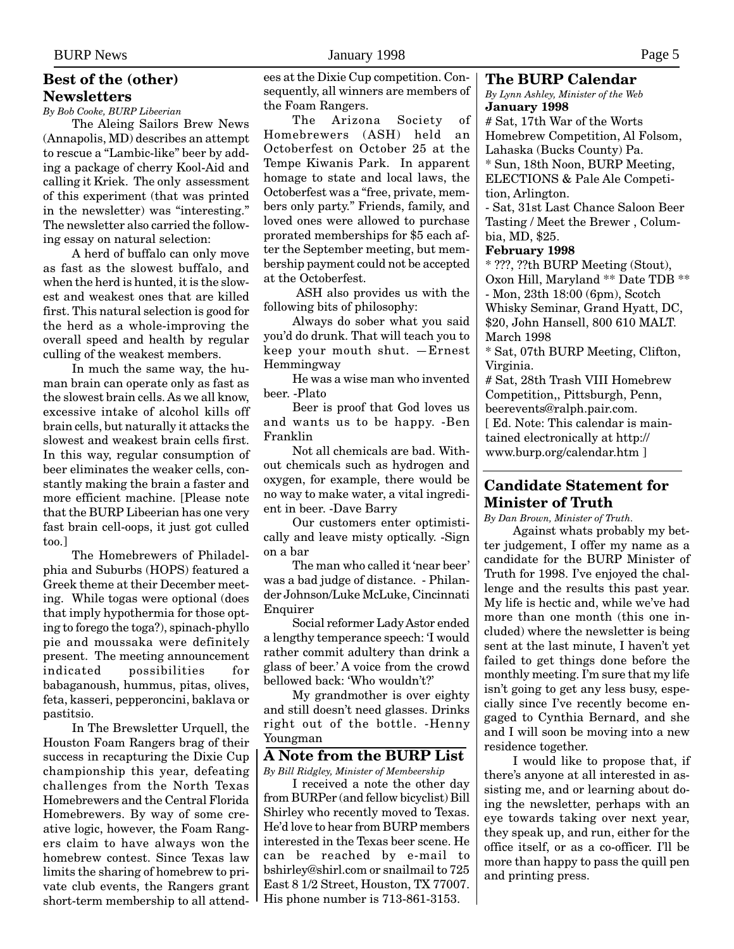## <span id="page-4-0"></span>**Best of the (other) Newsletters**

*By Bob Cooke, BURP Libeerian*

The Aleing Sailors Brew News (Annapolis, MD) describes an attempt to rescue a "Lambic-like" beer by adding a package of cherry Kool-Aid and calling it Kriek. The only assessment of this experiment (that was printed in the newsletter) was "interesting." The newsletter also carried the following essay on natural selection:

A herd of buffalo can only move as fast as the slowest buffalo, and when the herd is hunted, it is the slowest and weakest ones that are killed first. This natural selection is good for the herd as a whole-improving the overall speed and health by regular culling of the weakest members.

In much the same way, the human brain can operate only as fast as the slowest brain cells. As we all know, excessive intake of alcohol kills off brain cells, but naturally it attacks the slowest and weakest brain cells first. In this way, regular consumption of beer eliminates the weaker cells, constantly making the brain a faster and more efficient machine. [Please note that the BURP Libeerian has one very fast brain cell-oops, it just got culled too.]

The Homebrewers of Philadelphia and Suburbs (HOPS) featured a Greek theme at their December meeting. While togas were optional (does that imply hypothermia for those opting to forego the toga?), spinach-phyllo pie and moussaka were definitely present. The meeting announcement indicated possibilities for babaganoush, hummus, pitas, olives, feta, kasseri, pepperoncini, baklava or pastitsio.

In The Brewsletter Urquell, the Houston Foam Rangers brag of their success in recapturing the Dixie Cup championship this year, defeating challenges from the North Texas Homebrewers and the Central Florida Homebrewers. By way of some creative logic, however, the Foam Rangers claim to have always won the homebrew contest. Since Texas law limits the sharing of homebrew to private club events, the Rangers grant short-term membership to all attendees at the Dixie Cup competition. Consequently, all winners are members of the Foam Rangers.

The Arizona Society of Homebrewers (ASH) held an Octoberfest on October 25 at the Tempe Kiwanis Park. In apparent homage to state and local laws, the Octoberfest was a "free, private, members only party." Friends, family, and loved ones were allowed to purchase prorated memberships for \$5 each after the September meeting, but membership payment could not be accepted at the Octoberfest.

 ASH also provides us with the following bits of philosophy:

Always do sober what you said you'd do drunk. That will teach you to keep your mouth shut. —Ernest Hemmingway

He was a wise man who invented beer. -Plato

Beer is proof that God loves us and wants us to be happy. -Ben Franklin

Not all chemicals are bad. Without chemicals such as hydrogen and oxygen, for example, there would be no way to make water, a vital ingredient in beer. -Dave Barry

Our customers enter optimistically and leave misty optically. -Sign on a bar

The man who called it 'near beer' was a bad judge of distance. - Philander Johnson/Luke McLuke, Cincinnati Enquirer

Social reformer Lady Astor ended a lengthy temperance speech: 'I would rather commit adultery than drink a glass of beer.' A voice from the crowd bellowed back: 'Who wouldn't?'

My grandmother is over eighty and still doesn't need glasses. Drinks right out of the bottle. -Henny Youngman

# **A Note from the BURP List**

*By Bill Ridgley, Minister of Membeership* I received a note the other day from BURPer (and fellow bicyclist) Bill Shirley who recently moved to Texas. He'd love to hear from BURP members interested in the Texas beer scene. He can be reached by e-mail to bshirley@shirl.com or snailmail to 725 East 8 1/2 Street, Houston, TX 77007. His phone number is 713-861-3153.

#### **The BURP Calendar**

*By Lynn Ashley, Minister of the Web* **January 1998**

# Sat, 17th War of the Worts Homebrew Competition, Al Folsom, Lahaska (Bucks County) Pa. \* Sun, 18th Noon, BURP Meeting, ELECTIONS & Pale Ale Competition, Arlington.

- Sat, 31st Last Chance Saloon Beer Tasting / Meet the Brewer , Columbia, MD, \$25.

#### **February 1998**

\* ???, ??th BURP Meeting (Stout), Oxon Hill, Maryland \*\* Date TDB \*\* - Mon, 23th 18:00 (6pm), Scotch Whisky Seminar, Grand Hyatt, DC, \$20, John Hansell, 800 610 MALT. March 1998

\* Sat, 07th BURP Meeting, Clifton, Virginia.

# Sat, 28th Trash VIII Homebrew Competition,, Pittsburgh, Penn, beerevents@ralph.pair.com. [ Ed. Note: This calendar is maintained electronically at http:// www.burp.org/calendar.htm ]

## **Candidate Statement for Minister of Truth**

*By Dan Brown, Minister of Truth.*

Against whats probably my better judgement, I offer my name as a candidate for the BURP Minister of Truth for 1998. I've enjoyed the challenge and the results this past year. My life is hectic and, while we've had more than one month (this one included) where the newsletter is being sent at the last minute, I haven't yet failed to get things done before the monthly meeting. I'm sure that my life isn't going to get any less busy, especially since I've recently become engaged to Cynthia Bernard, and she and I will soon be moving into a new residence together.

I would like to propose that, if there's anyone at all interested in assisting me, and or learning about doing the newsletter, perhaps with an eye towards taking over next year, they speak up, and run, either for the office itself, or as a co-officer. I'll be more than happy to pass the quill pen and printing press.